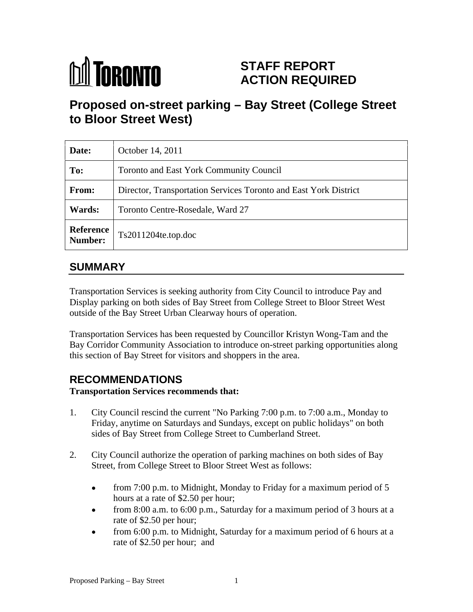# **M** TORONTO

## **STAFF REPORT ACTION REQUIRED**

# **Proposed on-street parking – Bay Street (College Street to Bloor Street West)**

| Date:         | October 14, 2011                                                 |
|---------------|------------------------------------------------------------------|
| To:           | Toronto and East York Community Council                          |
| From:         | Director, Transportation Services Toronto and East York District |
| <b>Wards:</b> | Toronto Centre-Rosedale, Ward 27                                 |
|               | Reference<br>Number: Ts2011204te.top.doc                         |

### **SUMMARY**

Transportation Services is seeking authority from City Council to introduce Pay and Display parking on both sides of Bay Street from College Street to Bloor Street West outside of the Bay Street Urban Clearway hours of operation.

Transportation Services has been requested by Councillor Kristyn Wong-Tam and the Bay Corridor Community Association to introduce on-street parking opportunities along this section of Bay Street for visitors and shoppers in the area.

## **RECOMMENDATIONS**

**Transportation Services recommends that:**

- 1. City Council rescind the current "No Parking 7:00 p.m. to 7:00 a.m., Monday to Friday, anytime on Saturdays and Sundays, except on public holidays" on both sides of Bay Street from College Street to Cumberland Street.
- 2. City Council authorize the operation of parking machines on both sides of Bay Street, from College Street to Bloor Street West as follows:
	- $\bullet$ from 7:00 p.m. to Midnight, Monday to Friday for a maximum period of 5 hours at a rate of \$2.50 per hour;
	- from 8:00 a.m. to 6:00 p.m., Saturday for a maximum period of 3 hours at a rate of \$2.50 per hour;
	- from 6:00 p.m. to Midnight, Saturday for a maximum period of 6 hours at a  $\bullet$ rate of \$2.50 per hour; and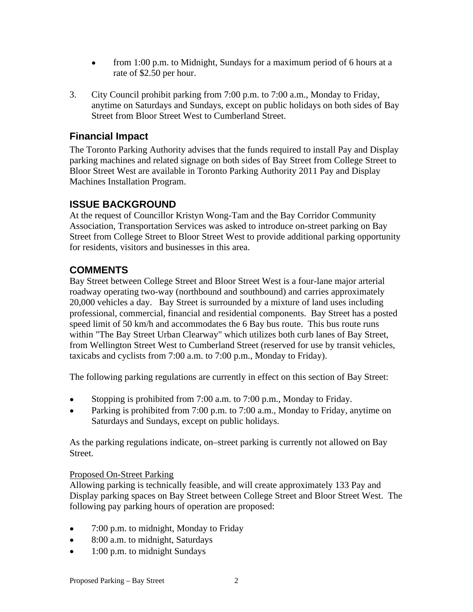- from 1:00 p.m. to Midnight, Sundays for a maximum period of 6 hours at a  $\bullet$ rate of \$2.50 per hour.
- 3. City Council prohibit parking from 7:00 p.m. to 7:00 a.m., Monday to Friday, anytime on Saturdays and Sundays, except on public holidays on both sides of Bay Street from Bloor Street West to Cumberland Street.

#### **Financial Impact**

The Toronto Parking Authority advises that the funds required to install Pay and Display parking machines and related signage on both sides of Bay Street from College Street to Bloor Street West are available in Toronto Parking Authority 2011 Pay and Display Machines Installation Program.

#### **ISSUE BACKGROUND**

At the request of Councillor Kristyn Wong-Tam and the Bay Corridor Community Association, Transportation Services was asked to introduce on-street parking on Bay Street from College Street to Bloor Street West to provide additional parking opportunity for residents, visitors and businesses in this area.

#### **COMMENTS**

Bay Street between College Street and Bloor Street West is a four-lane major arterial roadway operating two-way (northbound and southbound) and carries approximately 20,000 vehicles a day. Bay Street is surrounded by a mixture of land uses including professional, commercial, financial and residential components. Bay Street has a posted speed limit of 50 km/h and accommodates the 6 Bay bus route. This bus route runs within "The Bay Street Urban Clearway" which utilizes both curb lanes of Bay Street, from Wellington Street West to Cumberland Street (reserved for use by transit vehicles, taxicabs and cyclists from 7:00 a.m. to 7:00 p.m., Monday to Friday). The following parking regulations are currently in effect on this section of Bay Street:

- Stopping is prohibited from 7:00 a.m. to 7:00 p.m., Monday to Friday.  $\bullet$
- Parking is prohibited from 7:00 p.m. to 7:00 a.m., Monday to Friday, anytime on Saturdays and Sundays, except on public holidays.

As the parking regulations indicate, on–street parking is currently not allowed on Bay Street.

#### Proposed On-Street Parking

Allowing parking is technically feasible, and will create approximately 133 Pay and Display parking spaces on Bay Street between College Street and Bloor Street West. The following pay parking hours of operation are proposed:

- 7:00 p.m. to midnight, Monday to Friday  $\bullet$
- 8:00 a.m. to midnight, Saturdays  $\bullet$
- 1:00 p.m. to midnight Sundays $\bullet$